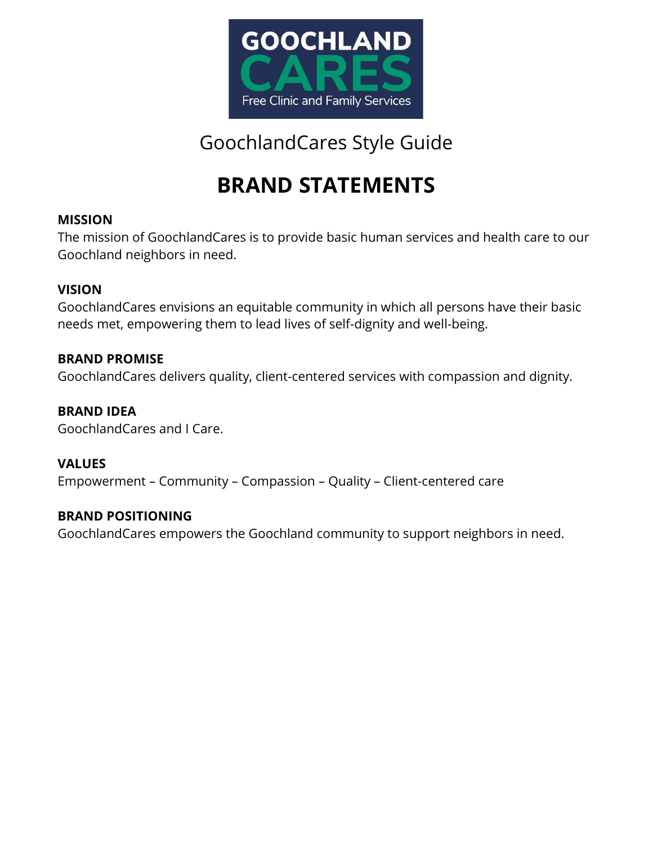

# **BRAND STATEMENTS**

## **MISSION**

The mission of GoochlandCares is to provide basic human services and health care to our Goochland neighbors in need.

### **VISION**

GoochlandCares envisions an equitable community in which all persons have their basic needs met, empowering them to lead lives of self-dignity and well-being.

### **BRAND PROMISE**

GoochlandCares delivers quality, client-centered services with compassion and dignity.

## **BRAND IDEA**

GoochlandCares and I Care.

## **VALUES**

Empowerment – Community – Compassion – Quality – Client-centered care

### **BRAND POSITIONING**

GoochlandCares empowers the Goochland community to support neighbors in need.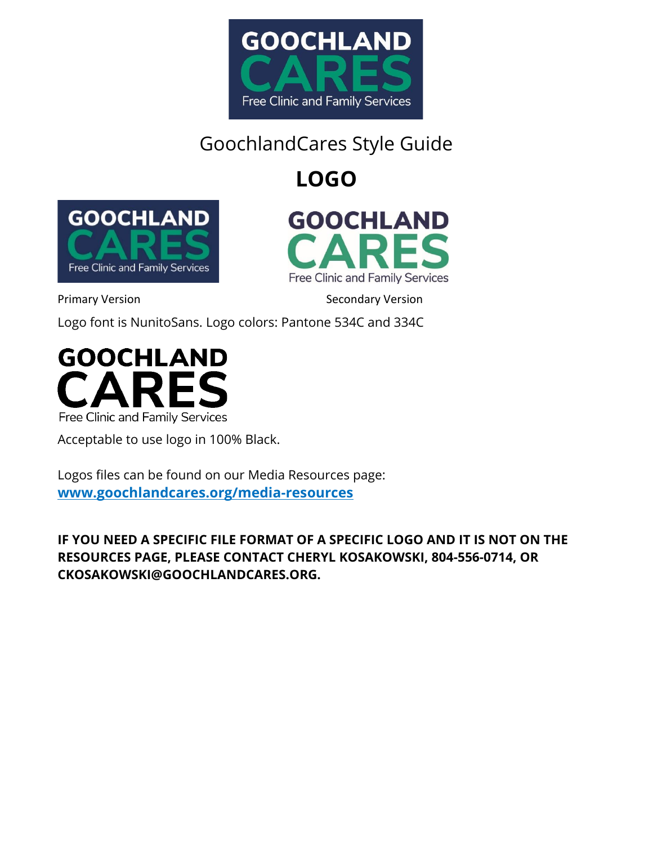

**LOGO**





Primary Version **Secondary Version** Secondary Version

Logo font is NunitoSans. Logo colors: Pantone 534C and 334C



Acceptable to use logo in 100% Black.

Logos files can be found on our Media Resources page: **[www.goochlandcares.org/media-resources](http://www.goochlandcares.org/media-resources)**

**IF YOU NEED A SPECIFIC FILE FORMAT OF A SPECIFIC LOGO AND IT IS NOT ON THE RESOURCES PAGE, PLEASE CONTACT CHERYL KOSAKOWSKI, 804-556-0714, OR CKOSAKOWSKI@GOOCHLANDCARES.ORG.**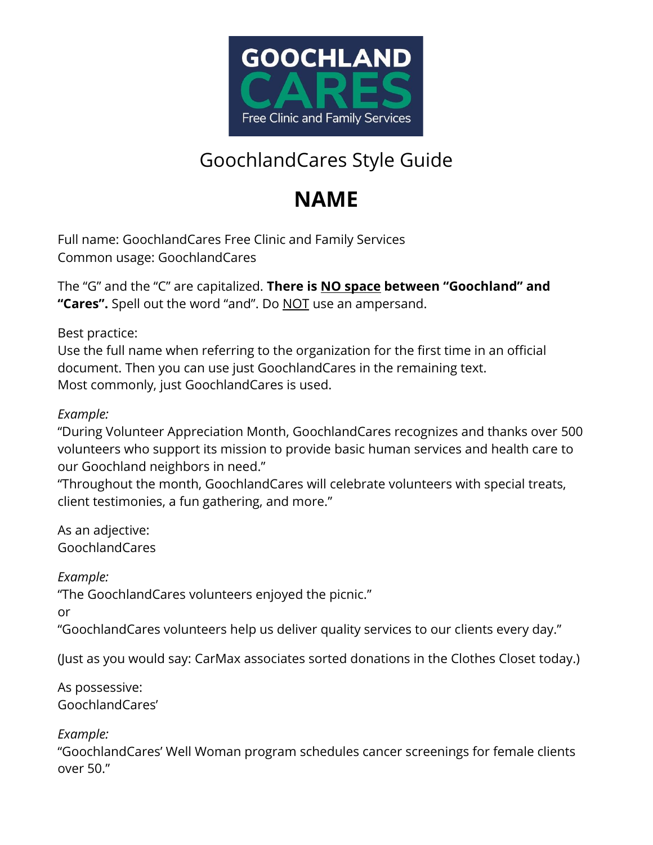

# **NAME**

Full name: GoochlandCares Free Clinic and Family Services Common usage: GoochlandCares

The "G" and the "C" are capitalized. **There is NO space between "Goochland" and "Cares".** Spell out the word "and". Do NOT use an ampersand.

Best practice:

Use the full name when referring to the organization for the first time in an official document. Then you can use just GoochlandCares in the remaining text. Most commonly, just GoochlandCares is used.

*Example:*

"During Volunteer Appreciation Month, GoochlandCares recognizes and thanks over 500 volunteers who support its mission to provide basic human services and health care to our Goochland neighbors in need."

"Throughout the month, GoochlandCares will celebrate volunteers with special treats, client testimonies, a fun gathering, and more."

As an adjective: GoochlandCares

*Example:*

"The GoochlandCares volunteers enjoyed the picnic."

or

"GoochlandCares volunteers help us deliver quality services to our clients every day."

(Just as you would say: CarMax associates sorted donations in the Clothes Closet today.)

As possessive: GoochlandCares'

*Example:*

"GoochlandCares' Well Woman program schedules cancer screenings for female clients over 50."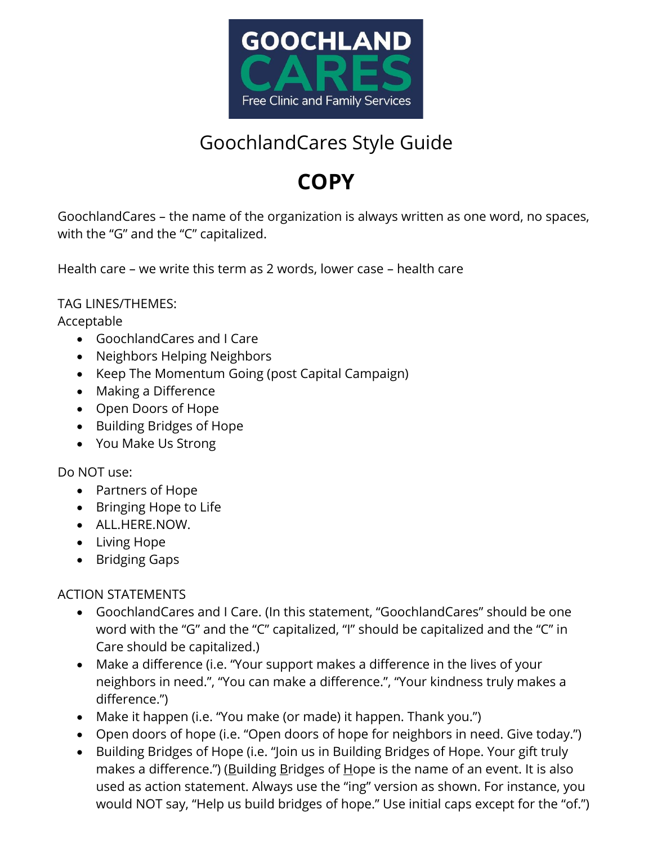

# **COPY**

GoochlandCares – the name of the organization is always written as one word, no spaces, with the "G" and the "C" capitalized.

Health care – we write this term as 2 words, lower case – health care

TAG LINES/THEMES:

Acceptable

- GoochlandCares and I Care
- Neighbors Helping Neighbors
- Keep The Momentum Going (post Capital Campaign)
- Making a Difference
- Open Doors of Hope
- Building Bridges of Hope
- You Make Us Strong

Do NOT use:

- Partners of Hope
- Bringing Hope to Life
- ALL.HERE.NOW.
- Living Hope
- Bridging Gaps

## ACTION STATEMENTS

- GoochlandCares and I Care. (In this statement, "GoochlandCares" should be one word with the "G" and the "C" capitalized, "I" should be capitalized and the "C" in Care should be capitalized.)
- Make a difference (i.e. "Your support makes a difference in the lives of your neighbors in need.", "You can make a difference.", "Your kindness truly makes a difference.")
- Make it happen (i.e. "You make (or made) it happen. Thank you.")
- Open doors of hope (i.e. "Open doors of hope for neighbors in need. Give today.")
- Building Bridges of Hope (i.e. "Join us in Building Bridges of Hope. Your gift truly makes a difference.") (Building Bridges of Hope is the name of an event. It is also used as action statement. Always use the "ing" version as shown. For instance, you would NOT say, "Help us build bridges of hope." Use initial caps except for the "of.")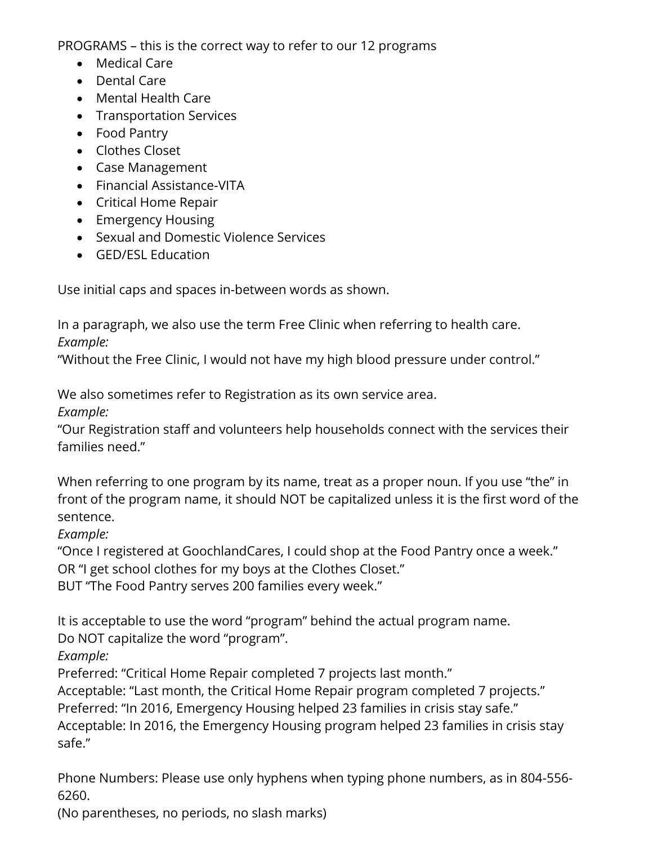PROGRAMS – this is the correct way to refer to our 12 programs

- Medical Care
- Dental Care
- Mental Health Care
- Transportation Services
- Food Pantry
- Clothes Closet
- Case Management
- Financial Assistance-VITA
- Critical Home Repair
- Emergency Housing
- Sexual and Domestic Violence Services
- **GED/ESL Education**

Use initial caps and spaces in-between words as shown.

In a paragraph, we also use the term Free Clinic when referring to health care.

*Example:*

"Without the Free Clinic, I would not have my high blood pressure under control."

We also sometimes refer to Registration as its own service area.

*Example:*

"Our Registration staff and volunteers help households connect with the services their families need."

When referring to one program by its name, treat as a proper noun. If you use "the" in front of the program name, it should NOT be capitalized unless it is the first word of the sentence.

*Example:*

"Once I registered at GoochlandCares, I could shop at the Food Pantry once a week."

OR "I get school clothes for my boys at the Clothes Closet."

BUT "The Food Pantry serves 200 families every week."

It is acceptable to use the word "program" behind the actual program name.

Do NOT capitalize the word "program".

*Example:*

Preferred: "Critical Home Repair completed 7 projects last month."

Acceptable: "Last month, the Critical Home Repair program completed 7 projects."

Preferred: "In 2016, Emergency Housing helped 23 families in crisis stay safe."

Acceptable: In 2016, the Emergency Housing program helped 23 families in crisis stay safe."

Phone Numbers: Please use only hyphens when typing phone numbers, as in 804-556- 6260.

(No parentheses, no periods, no slash marks)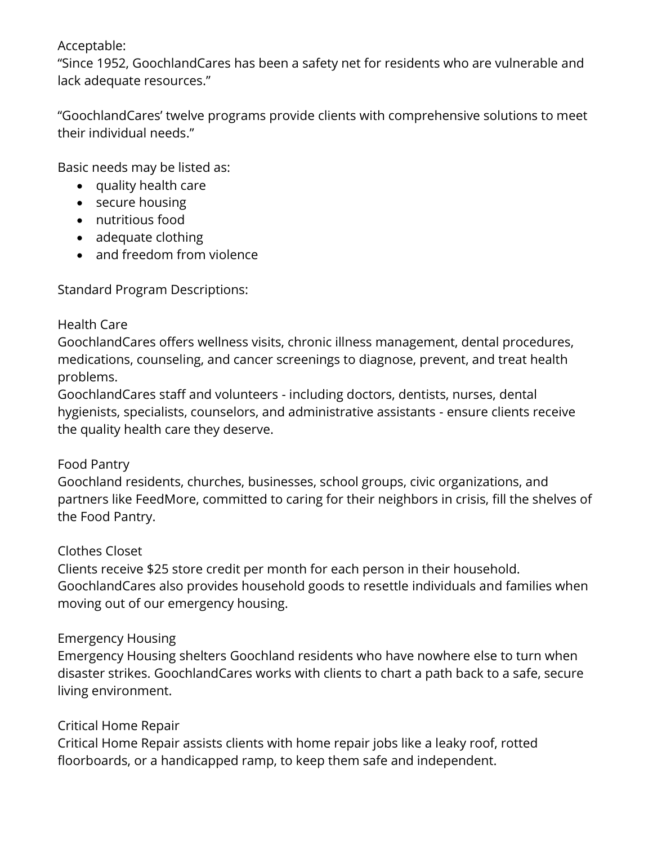### Acceptable:

"Since 1952, GoochlandCares has been a safety net for residents who are vulnerable and lack adequate resources."

"GoochlandCares' twelve programs provide clients with comprehensive solutions to meet their individual needs."

Basic needs may be listed as:

- quality health care
- secure housing
- nutritious food
- adequate clothing
- and freedom from violence

Standard Program Descriptions:

#### Health Care

GoochlandCares offers wellness visits, chronic illness management, dental procedures, medications, counseling, and cancer screenings to diagnose, prevent, and treat health problems.

GoochlandCares staff and volunteers - including doctors, dentists, nurses, dental hygienists, specialists, counselors, and administrative assistants - ensure clients receive the quality health care they deserve.

#### Food Pantry

Goochland residents, churches, businesses, school groups, civic organizations, and partners like FeedMore, committed to caring for their neighbors in crisis, fill the shelves of the Food Pantry.

#### Clothes Closet

Clients receive \$25 store credit per month for each person in their household. GoochlandCares also provides household goods to resettle individuals and families when moving out of our emergency housing.

### Emergency Housing

Emergency Housing shelters Goochland residents who have nowhere else to turn when disaster strikes. GoochlandCares works with clients to chart a path back to a safe, secure living environment.

### Critical Home Repair

Critical Home Repair assists clients with home repair jobs like a leaky roof, rotted floorboards, or a handicapped ramp, to keep them safe and independent.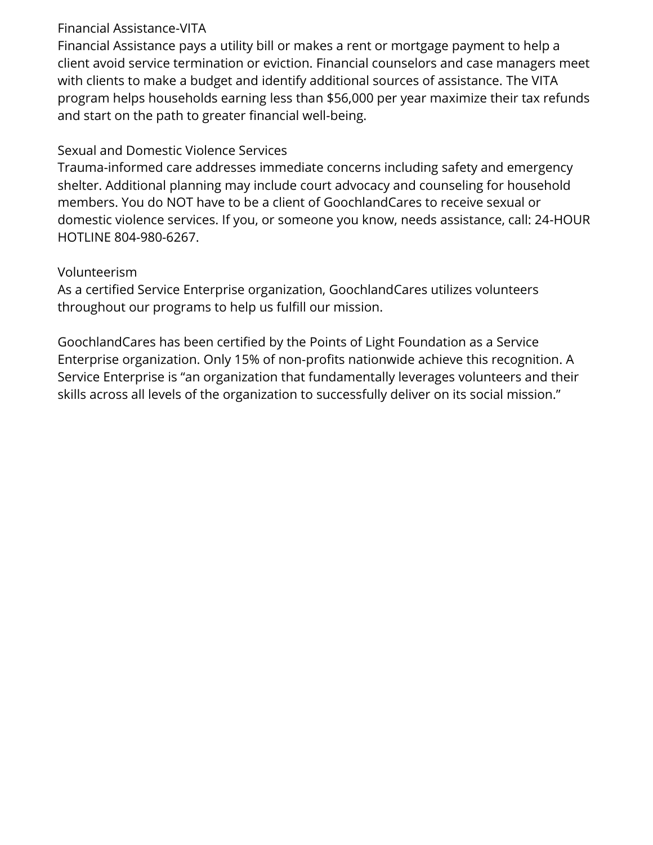### Financial Assistance-VITA

Financial Assistance pays a utility bill or makes a rent or mortgage payment to help a client avoid service termination or eviction. Financial counselors and case managers meet with clients to make a budget and identify additional sources of assistance. The VITA program helps households earning less than \$56,000 per year maximize their tax refunds and start on the path to greater financial well-being.

## Sexual and Domestic Violence Services

Trauma-informed care addresses immediate concerns including safety and emergency shelter. Additional planning may include court advocacy and counseling for household members. You do NOT have to be a client of GoochlandCares to receive sexual or domestic violence services. If you, or someone you know, needs assistance, call: 24-HOUR HOTLINE 804-980-6267.

### Volunteerism

As a certified Service Enterprise organization, GoochlandCares utilizes volunteers throughout our programs to help us fulfill our mission.

GoochlandCares has been certified by the Points of Light Foundation as a Service Enterprise organization. Only 15% of non-profits nationwide achieve this recognition. A Service Enterprise is "an organization that fundamentally leverages volunteers and their skills across all levels of the organization to successfully deliver on its social mission."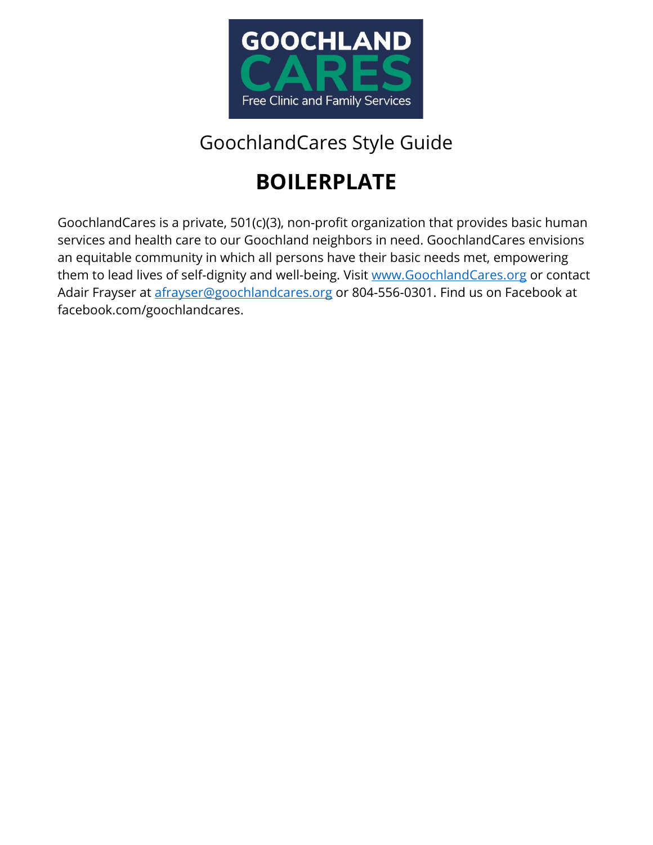

# **BOILERPLATE**

GoochlandCares is a private, 501(c)(3), non-profit organization that provides basic human services and health care to our Goochland neighbors in need. GoochlandCares envisions an equitable community in which all persons have their basic needs met, empowering them to lead lives of self-dignity and well-being. Visit [www.GoochlandCares.org](http://www.goochlandcares.org/) or contact Adair Frayser at [afrayser@goochlandcares.org](mailto:afrayser@goochlandcares.org) or 804-556-0301. Find us on Facebook at facebook.com/goochlandcares.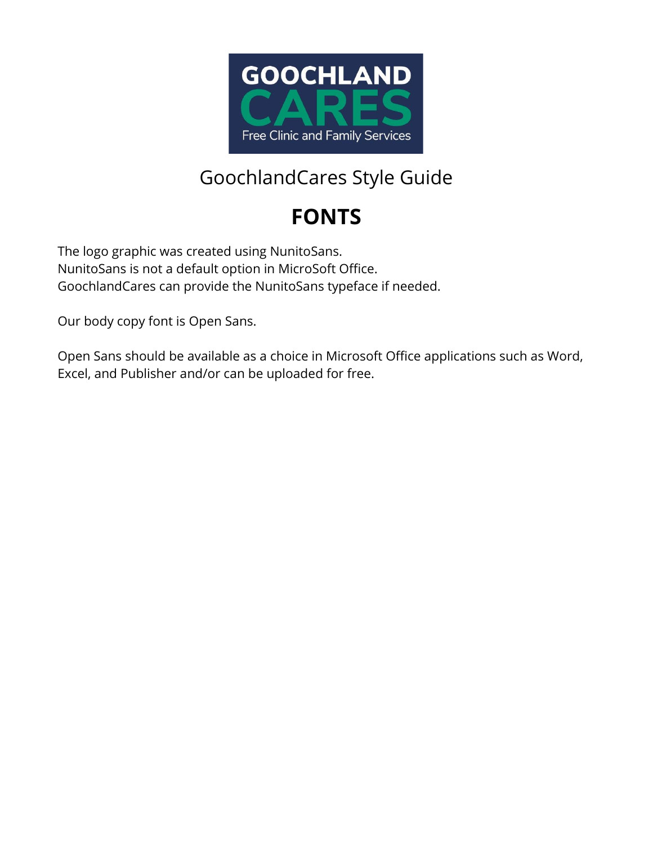

# **FONTS**

The logo graphic was created using NunitoSans. NunitoSans is not a default option in MicroSoft Office. GoochlandCares can provide the NunitoSans typeface if needed.

Our body copy font is Open Sans.

Open Sans should be available as a choice in Microsoft Office applications such as Word, Excel, and Publisher and/or can be uploaded for free.